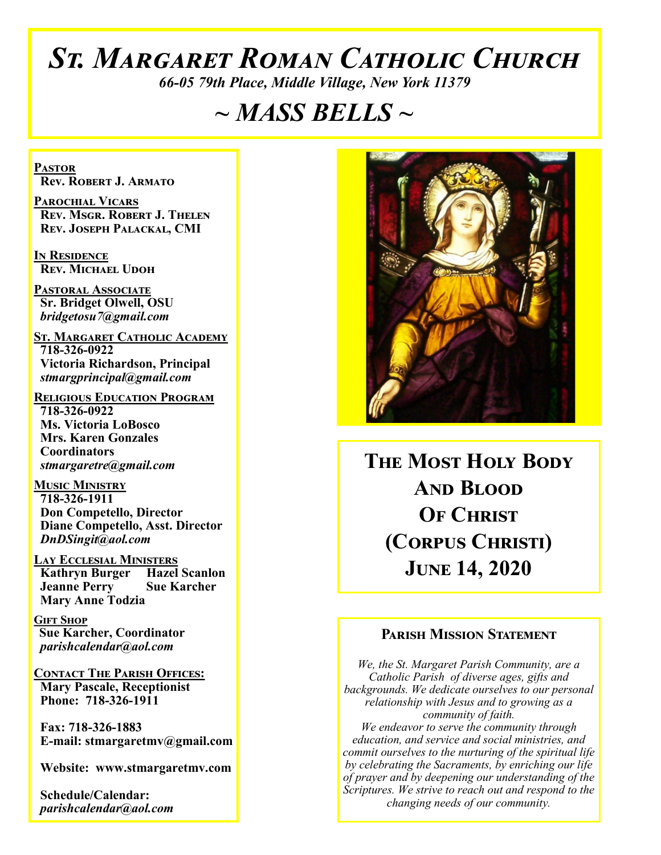# *St. Margaret Roman Catholic Church*

*66-05 79th Place, Middle Village, New York 11379*

# *~ MASS BELLS ~*

**Pastor Rev. Robert J. Armato**

**Parochial Vicars Rev. Msgr. Robert J. Thelen Rev. Joseph Palackal, CMI**

**In Residence Rev. Michael Udoh**

**Pastoral Associate Sr. Bridget Olwell, OSU**  *bridgetosu7@gmail.com*

**St. Margaret Catholic Academy 718-326-0922 Victoria Richardson, Principal**  *stmargprincipal@gmail.com*

**Religious Education Program 718-326-0922 Ms. Victoria LoBosco Mrs. Karen Gonzales Coordinators** *stmargaretre@gmail.com*

**Music Ministry 718-326-1911 Don Competello, Director Diane Competello, Asst. Director** *DnDSingit@aol.com*

**Lay Ecclesial Ministers Kathryn Burger Hazel Scanlon<br>Jeanne Perry Sue Karcher Jeanne Perry Mary Anne Todzia**

**Gift Shop Sue Karcher, Coordinator** *parishcalendar@aol.com*

**Contact The Parish Offices: Mary Pascale, Receptionist Phone: 718-326-1911** 

 **Fax: 718-326-1883 E-mail: stmargaretmv@gmail.com**

 **Website: www.stmargaretmv.com**

 **Schedule/Calendar:** *parishcalendar@aol.com* 



**The Most Holy Body And Blood OF CHRIST (Corpus Christi) June 14, 2020** 

#### **Parish Mission Statement**

*We, the St. Margaret Parish Community, are a Catholic Parish of diverse ages, gifts and backgrounds. We dedicate ourselves to our personal relationship with Jesus and to growing as a community of faith. We endeavor to serve the community through education, and service and social ministries, and commit ourselves to the nurturing of the spiritual life by celebrating the Sacraments, by enriching our life of prayer and by deepening our understanding of the Scriptures. We strive to reach out and respond to the changing needs of our community.*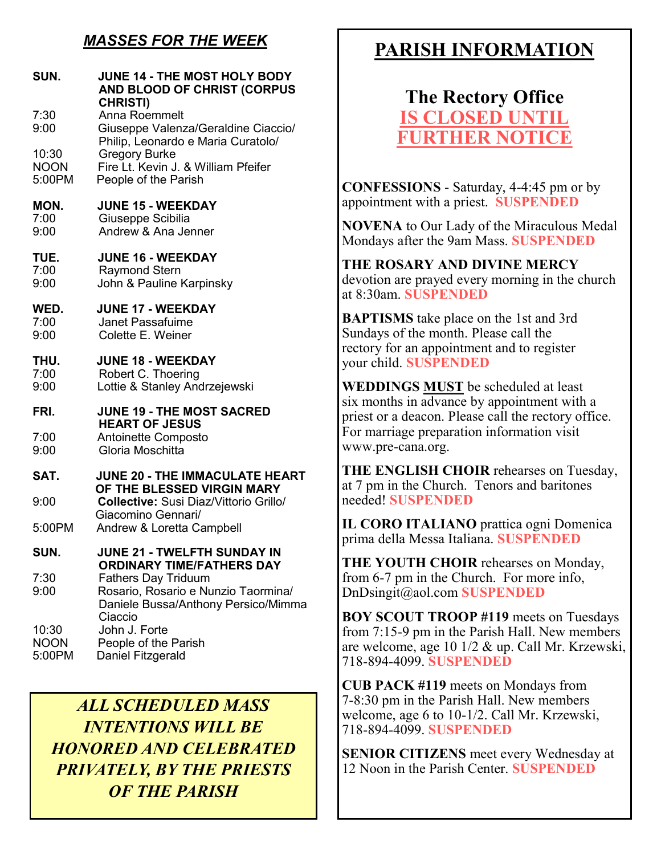# *MASSES FOR THE WEEK*

| SUN.                           | <b>JUNE 14 - THE MOST HOLY BODY</b><br>AND BLOOD OF CHRIST (CORPUS<br><b>CHRISTI)</b>                               |
|--------------------------------|---------------------------------------------------------------------------------------------------------------------|
| 7:30<br>9:00                   | <b>Anna Roemmelt</b><br>Giuseppe Valenza/Geraldine Ciaccio/<br>Philip, Leonardo e Maria Curatolo/                   |
| 10:30<br><b>NOON</b><br>5:00PM | <b>Gregory Burke</b><br>Fire Lt. Kevin J. & William Pfeifer<br>People of the Parish                                 |
| MON.<br>7:00<br>9:00           | <b>JUNE 15 - WEEKDAY</b><br>Giuseppe Scibilia<br>Andrew & Ana Jenner                                                |
| TUE.<br>7:00<br>9:00           | <b>JUNE 16 - WEEKDAY</b><br><b>Raymond Stern</b><br>John & Pauline Karpinsky                                        |
| WED.<br>7:00<br>9:00           | <b>JUNE 17 - WEEKDAY</b><br>Janet Passafuime<br>Colette E. Weiner                                                   |
| THU.<br>7:00<br>9:00           | <b>JUNE 18 - WEEKDAY</b><br>Robert C. Thoering<br>Lottie & Stanley Andrzejewski                                     |
| FRI.                           | <b>JUNE 19 - THE MOST SACRED</b><br><b>HEART OF JESUS</b>                                                           |
| 7:00<br>9:00                   | Antoinette Composto<br>Gloria Moschitta                                                                             |
| SAT.                           | <b>JUNE 20 - THE IMMACULATE HEART</b><br>OF THE BLESSED VIRGIN MARY                                                 |
| 9:00                           | Collective: Susi Diaz/Vittorio Grillo/<br>Giacomino Gennari/                                                        |
| 5:00PM                         | Andrew & Loretta Campbell                                                                                           |
| SUN.                           | JUNE 21 - TWELFTH SUNDAY IN<br><b>ORDINARY TIME/FATHERS DAY</b>                                                     |
| 7:30<br>9:00                   | <b>Fathers Day Triduum</b><br>Rosario, Rosario e Nunzio Taormina/<br>Daniele Bussa/Anthony Persico/Mimma<br>Ciaccio |
| 10:30<br><b>NOON</b><br>5:00PM | John J. Forte<br>People of the Parish<br>Daniel Fitzgerald                                                          |

*ALL SCHEDULED MASS INTENTIONS WILL BE HONORED AND CELEBRATED PRIVATELY, BY THE PRIESTS OF THE PARISH*

# **PARISH INFORMATION**

**The Rectory Office IS CLOSED UNT FURTHER NOTICE**

**CONFESSIONS** - Saturday, 4-4:45 pm or by appointment with a priest. **SUSPENDED**

**NOVENA** to Our Lady of the Miraculous Medal Mondays after the 9am Mass. **SUSPENDED**

**THE ROSARY AND DIVINE MERCY** devotion are prayed every morning in the church at 8:30am. **SUSPENDED**

**BAPTISMS** take place on the 1st and 3rd Sundays of the month. Please call the rectory for an appointment and to register your child. **SUSPENDED**

**WEDDINGS MUST** be scheduled at least six months in advance by appointment with a priest or a deacon. Please call the rectory office. For marriage preparation information visit www.pre-cana.org.

**THE ENGLISH CHOIR** rehearses on Tuesday, at 7 pm in the Church. Tenors and baritones needed! **SUSPENDED**

**IL CORO ITALIANO** prattica ogni Domenica prima della Messa Italiana. **SUSPENDED**

**THE YOUTH CHOIR** rehearses on Monday, from 6-7 pm in the Church. For more info, DnDsingit@aol.com **SUSPENDED**

**BOY SCOUT TROOP #119** meets on Tuesdays from 7:15-9 pm in the Parish Hall. New members are welcome, age 10 1/2 & up. Call Mr. Krzewski, 718-894-4099. **SUSPENDED**

**CUB PACK #119** meets on Mondays from 7-8:30 pm in the Parish Hall. New members welcome, age 6 to 10-1/2. Call Mr. Krzewski, 718-894-4099. **SUSPENDED**

**SENIOR CITIZENS** meet every Wednesday at 12 Noon in the Parish Center. **SUSPENDED**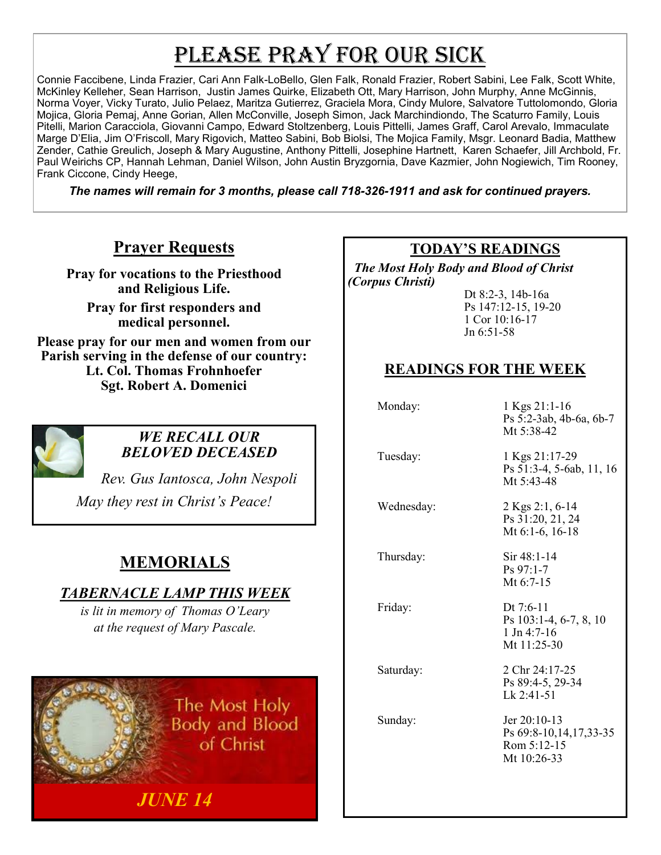# PLEASE PRAY FOR OUR SICK

Connie Faccibene, Linda Frazier, Cari Ann Falk-LoBello, Glen Falk, Ronald Frazier, Robert Sabini, Lee Falk, Scott White, McKinley Kelleher, Sean Harrison, Justin James Quirke, Elizabeth Ott, Mary Harrison, John Murphy, Anne McGinnis, Norma Voyer, Vicky Turato, Julio Pelaez, Maritza Gutierrez, Graciela Mora, Cindy Mulore, Salvatore Tuttolomondo, Gloria Mojica, Gloria Pemaj, Anne Gorian, Allen McConville, Joseph Simon, Jack Marchindiondo, The Scaturro Family, Louis Pitelli, Marion Caracciola, Giovanni Campo, Edward Stoltzenberg, Louis Pittelli, James Graff, Carol Arevalo, Immaculate Marge D'Elia, Jim O'Friscoll, Mary Rigovich, Matteo Sabini, Bob Biolsi, The Mojica Family, Msgr. Leonard Badia, Matthew Zender, Cathie Greulich, Joseph & Mary Augustine, Anthony Pittelli, Josephine Hartnett, Karen Schaefer, Jill Archbold, Fr. Paul Weirichs CP, Hannah Lehman, Daniel Wilson, John Austin Bryzgornia, Dave Kazmier, John Nogiewich, Tim Rooney, Frank Ciccone, Cindy Heege,

*The names will remain for 3 months, please call 718-326-1911 and ask for continued prayers.*

# **Prayer Requests**

**Pray for vocations to the Priesthood and Religious Life.** 

**Pray for first responders and medical personnel.**

**Please pray for our men and women from our Parish serving in the defense of our country: Lt. Col. Thomas Frohnhoefer Sgt. Robert A. Domenici** 



#### *WE RECALL OUR BELOVED DECEASED*

*Rev. Gus Iantosca, John Nespoli May they rest in Christ's Peace!*

# **MEMORIALS**

## *TABERNACLE LAMP THIS WEEK*

*is lit in memory of Thomas O'Leary at the request of Mary Pascale.* 

*JUNE 14*

The Most Holy **Body and Blood** of Christ

#### **TODAY'S READINGS**

 *The Most Holy Body and Blood of Christ (Corpus Christi)*

> Dt 8:2-3, 14b-16a Ps 147:12-15, 19-20 1 Cor 10:16-17 Jn 6:51-58

# **READINGS FOR THE WEEK**

 Monday: 1 Kgs 21:1-16 Ps 5:2-3ab, 4b-6a, 6b-7 Mt 5:38-42 Tuesday: 1 Kgs 21:17-29 Ps 51:3-4, 5-6ab, 11, 16 Mt 5:43-48 Wednesday: 2 Kgs 2:1, 6-14 Ps 31:20, 21, 24 Mt 6:1-6, 16-18 Thursday: Sir 48:1-14 Ps 97:1-7 Mt 6:7-15 Friday: Dt 7:6-11 Ps 103:1-4, 6-7, 8, 10 1 Jn 4:7-16 Mt 11:25-30 Saturday: 2 Chr 24:17-25 Ps 89:4-5, 29-34 Lk 2:41-51 Sunday: Jer 20:10-13 Ps 69:8-10,14,17,33-35 Rom 5:12-15 Mt 10:26-33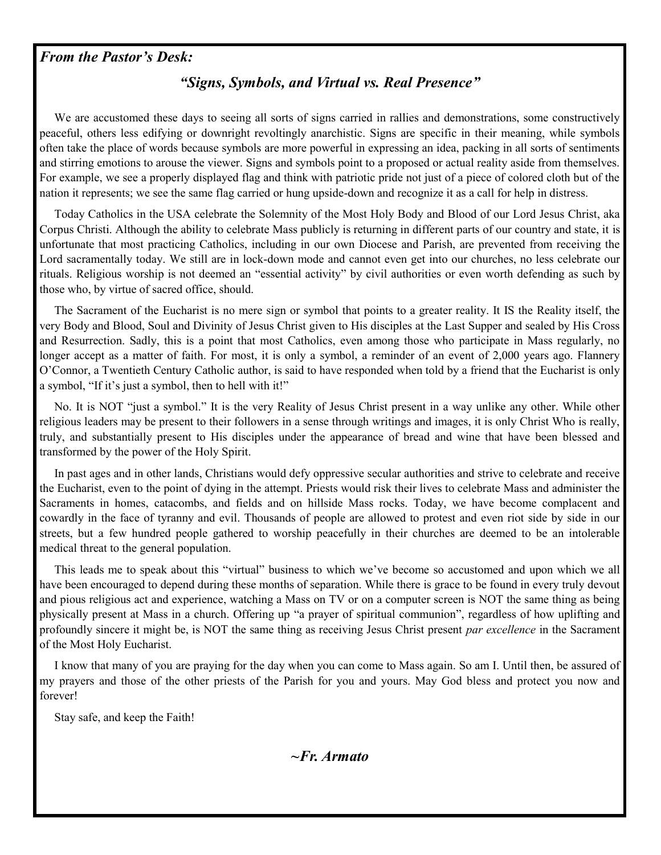#### *From the Pastor's Desk:*

#### *"Signs, Symbols, and Virtual vs. Real Presence"*

 We are accustomed these days to seeing all sorts of signs carried in rallies and demonstrations, some constructively peaceful, others less edifying or downright revoltingly anarchistic. Signs are specific in their meaning, while symbols often take the place of words because symbols are more powerful in expressing an idea, packing in all sorts of sentiments and stirring emotions to arouse the viewer. Signs and symbols point to a proposed or actual reality aside from themselves. For example, we see a properly displayed flag and think with patriotic pride not just of a piece of colored cloth but of the nation it represents; we see the same flag carried or hung upside-down and recognize it as a call for help in distress.

 Today Catholics in the USA celebrate the Solemnity of the Most Holy Body and Blood of our Lord Jesus Christ, aka Corpus Christi. Although the ability to celebrate Mass publicly is returning in different parts of our country and state, it is unfortunate that most practicing Catholics, including in our own Diocese and Parish, are prevented from receiving the Lord sacramentally today. We still are in lock-down mode and cannot even get into our churches, no less celebrate our rituals. Religious worship is not deemed an "essential activity" by civil authorities or even worth defending as such by those who, by virtue of sacred office, should.

 The Sacrament of the Eucharist is no mere sign or symbol that points to a greater reality. It IS the Reality itself, the very Body and Blood, Soul and Divinity of Jesus Christ given to His disciples at the Last Supper and sealed by His Cross and Resurrection. Sadly, this is a point that most Catholics, even among those who participate in Mass regularly, no longer accept as a matter of faith. For most, it is only a symbol, a reminder of an event of 2,000 years ago. Flannery O'Connor, a Twentieth Century Catholic author, is said to have responded when told by a friend that the Eucharist is only a symbol, "If it's just a symbol, then to hell with it!"

 No. It is NOT "just a symbol." It is the very Reality of Jesus Christ present in a way unlike any other. While other religious leaders may be present to their followers in a sense through writings and images, it is only Christ Who is really, truly, and substantially present to His disciples under the appearance of bread and wine that have been blessed and transformed by the power of the Holy Spirit.

 In past ages and in other lands, Christians would defy oppressive secular authorities and strive to celebrate and receive the Eucharist, even to the point of dying in the attempt. Priests would risk their lives to celebrate Mass and administer the Sacraments in homes, catacombs, and fields and on hillside Mass rocks. Today, we have become complacent and cowardly in the face of tyranny and evil. Thousands of people are allowed to protest and even riot side by side in our streets, but a few hundred people gathered to worship peacefully in their churches are deemed to be an intolerable medical threat to the general population.

 This leads me to speak about this "virtual" business to which we've become so accustomed and upon which we all have been encouraged to depend during these months of separation. While there is grace to be found in every truly devout and pious religious act and experience, watching a Mass on TV or on a computer screen is NOT the same thing as being physically present at Mass in a church. Offering up "a prayer of spiritual communion", regardless of how uplifting and profoundly sincere it might be, is NOT the same thing as receiving Jesus Christ present *par excellence* in the Sacrament of the Most Holy Eucharist.

 I know that many of you are praying for the day when you can come to Mass again. So am I. Until then, be assured of my prayers and those of the other priests of the Parish for you and yours. May God bless and protect you now and forever!

Stay safe, and keep the Faith!

*~Fr. Armato*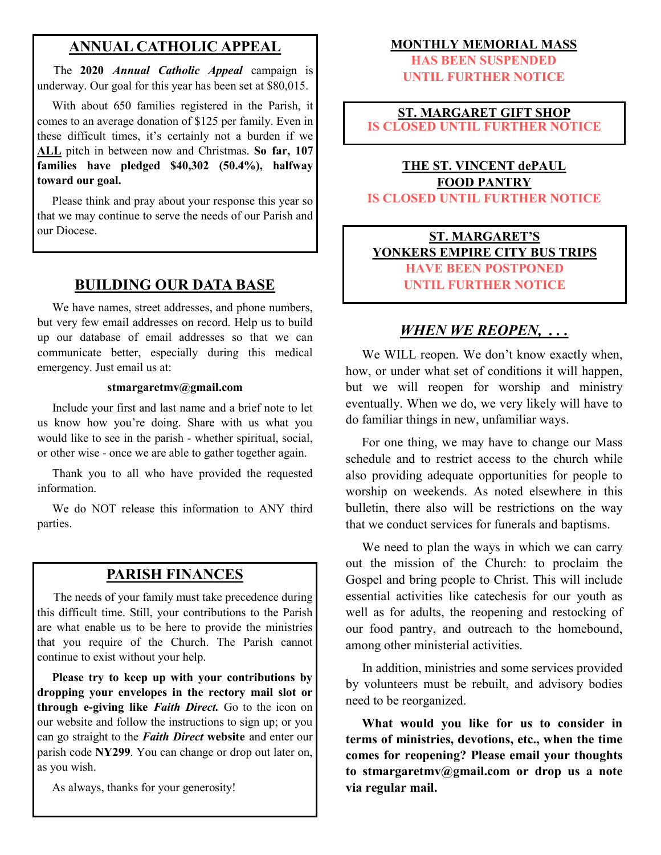#### **ANNUAL CATHOLIC APPEAL**

 The **2020** *Annual Catholic Appeal* campaign is underway. Our goal for this year has been set at \$80,015.

 With about 650 families registered in the Parish, it comes to an average donation of \$125 per family. Even in these difficult times, it's certainly not a burden if we **ALL** pitch in between now and Christmas. **So far, 107 families have pledged \$40,302 (50.4%), halfway toward our goal.**

 Please think and pray about your response this year so that we may continue to serve the needs of our Parish and our Diocese.

#### **BUILDING OUR DATA BASE**

 We have names, street addresses, and phone numbers, but very few email addresses on record. Help us to build up our database of email addresses so that we can communicate better, especially during this medical emergency. Just email us at:

#### **stmargaretmv@gmail.com**

 Include your first and last name and a brief note to let us know how you're doing. Share with us what you would like to see in the parish - whether spiritual, social, or other wise - once we are able to gather together again.

 Thank you to all who have provided the requested information.

 We do NOT release this information to ANY third parties.

#### **PARISH FINANCES**

 The needs of your family must take precedence during this difficult time. Still, your contributions to the Parish are what enable us to be here to provide the ministries that you require of the Church. The Parish cannot continue to exist without your help.

 **Please try to keep up with your contributions by dropping your envelopes in the rectory mail slot or through e-giving like** *Faith Direct.* Go to the icon on our website and follow the instructions to sign up; or you can go straight to the *Faith Direct* **website** and enter our parish code **NY299**. You can change or drop out later on, as you wish.

As always, thanks for your generosity!

#### **MONTHLY MEMORIAL MASS**

**HAS BEEN SUSPENDED UNTIL FURTHER NOTICE**

#### **ST. MARGARET GIFT SHOP IS CLOSED UNTIL FURTHER NOTICE**

#### **THE ST. VINCENT dePAUL FOOD PANTRY IS CLOSED UNTIL FURTHER NOTICE**

#### **ST. MARGARET'S YONKERS EMPIRE CITY BUS TRIPS HAVE BEEN POSTPONED UNTIL FURTHER NOTICE**

### *WHEN WE REOPEN, . . .*

We WILL reopen. We don't know exactly when, how, or under what set of conditions it will happen, but we will reopen for worship and ministry eventually. When we do, we very likely will have to do familiar things in new, unfamiliar ways.

 For one thing, we may have to change our Mass schedule and to restrict access to the church while also providing adequate opportunities for people to worship on weekends. As noted elsewhere in this bulletin, there also will be restrictions on the way that we conduct services for funerals and baptisms.

 We need to plan the ways in which we can carry out the mission of the Church: to proclaim the Gospel and bring people to Christ. This will include essential activities like catechesis for our youth as well as for adults, the reopening and restocking of our food pantry, and outreach to the homebound, among other ministerial activities.

 In addition, ministries and some services provided by volunteers must be rebuilt, and advisory bodies need to be reorganized.

 **What would you like for us to consider in terms of ministries, devotions, etc., when the time comes for reopening? Please email your thoughts to stmargaretmv@gmail.com or drop us a note via regular mail.**